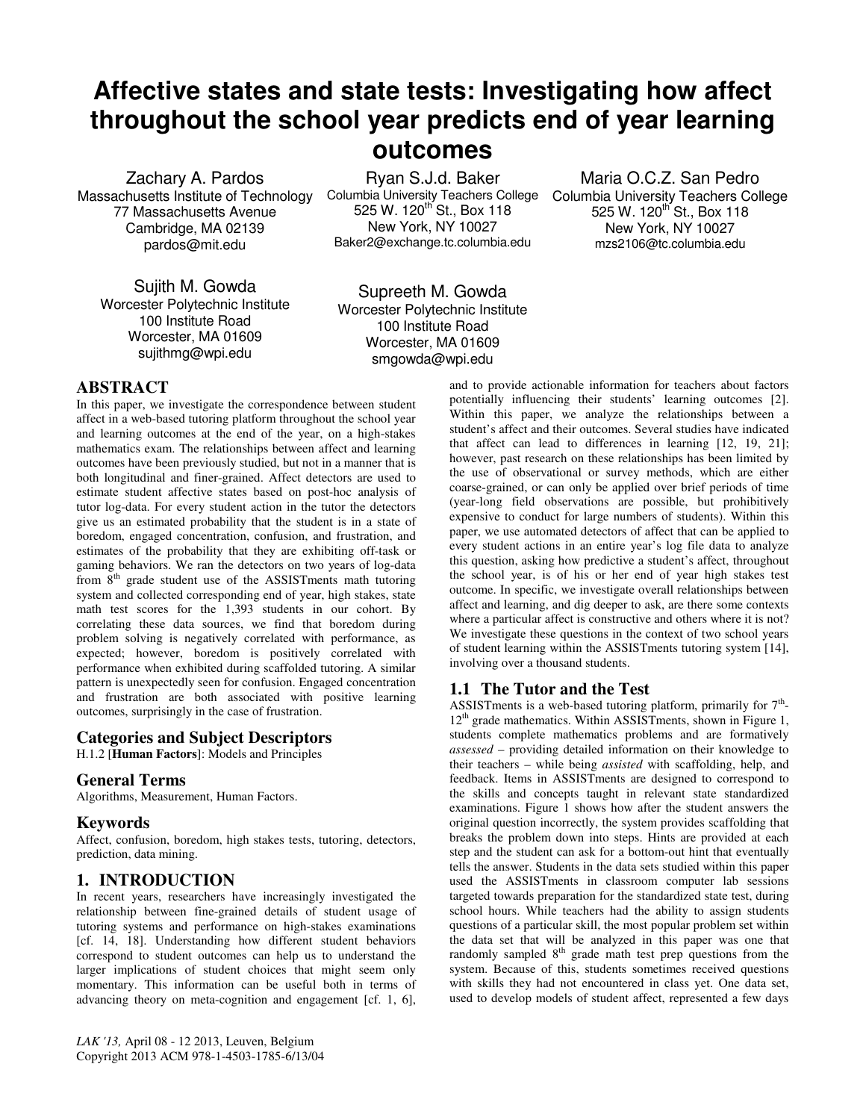# **Affective states and state tests: Investigating how affect throughout the school year predicts end of year learning outcomes**

Zachary A. Pardos Massachusetts Institute of Technology 77 Massachusetts Avenue Cambridge, MA 02139 pardos@mit.edu

Sujith M. Gowda Worcester Polytechnic Institute 100 Institute Road Worcester, MA 01609 sujithmg@wpi.edu

Ryan S.J.d. Baker Columbia University Teachers College 525 W. 120<sup>th</sup> St., Box 118 New York, NY 10027 Baker2@exchange.tc.columbia.edu

Maria O.C.Z. San Pedro Columbia University Teachers College 525 W. 120<sup>th</sup> St., Box 118 New York, NY 10027 mzs2106@tc.columbia.edu

Supreeth M. Gowda Worcester Polytechnic Institute 100 Institute Road Worcester, MA 01609 smgowda@wpi.edu

# **ABSTRACT**

In this paper, we investigate the correspondence between student affect in a web-based tutoring platform throughout the school year and learning outcomes at the end of the year, on a high-stakes mathematics exam. The relationships between affect and learning outcomes have been previously studied, but not in a manner that is both longitudinal and finer-grained. Affect detectors are used to estimate student affective states based on post-hoc analysis of tutor log-data. For every student action in the tutor the detectors give us an estimated probability that the student is in a state of boredom, engaged concentration, confusion, and frustration, and estimates of the probability that they are exhibiting off-task or gaming behaviors. We ran the detectors on two years of log-data from  $8<sup>th</sup>$  grade student use of the ASSISTments math tutoring system and collected corresponding end of year, high stakes, state math test scores for the 1,393 students in our cohort. By correlating these data sources, we find that boredom during problem solving is negatively correlated with performance, as expected; however, boredom is positively correlated with performance when exhibited during scaffolded tutoring. A similar pattern is unexpectedly seen for confusion. Engaged concentration and frustration are both associated with positive learning outcomes, surprisingly in the case of frustration.

#### **Categories and Subject Descriptors**

H.1.2 [**Human Factors**]: Models and Principles

### **General Terms**

Algorithms, Measurement, Human Factors.

#### **Keywords**

Affect, confusion, boredom, high stakes tests, tutoring, detectors, prediction, data mining.

## **1. INTRODUCTION**

In recent years, researchers have increasingly investigated the relationship between fine-grained details of student usage of tutoring systems and performance on high-stakes examinations [cf. 14, 18]. Understanding how different student behaviors correspond to student outcomes can help us to understand the larger implications of student choices that might seem only momentary. This information can be useful both in terms of advancing theory on meta-cognition and engagement [cf. 1, 6], and to provide actionable information for teachers about factors potentially influencing their students' learning outcomes [2]. Within this paper, we analyze the relationships between a student's affect and their outcomes. Several studies have indicated that affect can lead to differences in learning [12, 19, 21]; however, past research on these relationships has been limited by the use of observational or survey methods, which are either coarse-grained, or can only be applied over brief periods of time (year-long field observations are possible, but prohibitively expensive to conduct for large numbers of students). Within this paper, we use automated detectors of affect that can be applied to every student actions in an entire year's log file data to analyze this question, asking how predictive a student's affect, throughout the school year, is of his or her end of year high stakes test outcome. In specific, we investigate overall relationships between affect and learning, and dig deeper to ask, are there some contexts where a particular affect is constructive and others where it is not? We investigate these questions in the context of two school years of student learning within the ASSISTments tutoring system [14], involving over a thousand students.

## **1.1 The Tutor and the Test**

ASSISTments is a web-based tutoring platform, primarily for  $7<sup>th</sup>$ - $12<sup>th</sup>$  grade mathematics. Within ASSISTments, shown in Figure 1, students complete mathematics problems and are formatively *assessed* – providing detailed information on their knowledge to their teachers – while being *assisted* with scaffolding, help, and feedback. Items in ASSISTments are designed to correspond to the skills and concepts taught in relevant state standardized examinations. Figure 1 shows how after the student answers the original question incorrectly, the system provides scaffolding that breaks the problem down into steps. Hints are provided at each step and the student can ask for a bottom-out hint that eventually tells the answer. Students in the data sets studied within this paper used the ASSISTments in classroom computer lab sessions targeted towards preparation for the standardized state test, during school hours. While teachers had the ability to assign students questions of a particular skill, the most popular problem set within the data set that will be analyzed in this paper was one that randomly sampled  $8<sup>th</sup>$  grade math test prep questions from the system. Because of this, students sometimes received questions with skills they had not encountered in class yet. One data set, used to develop models of student affect, represented a few days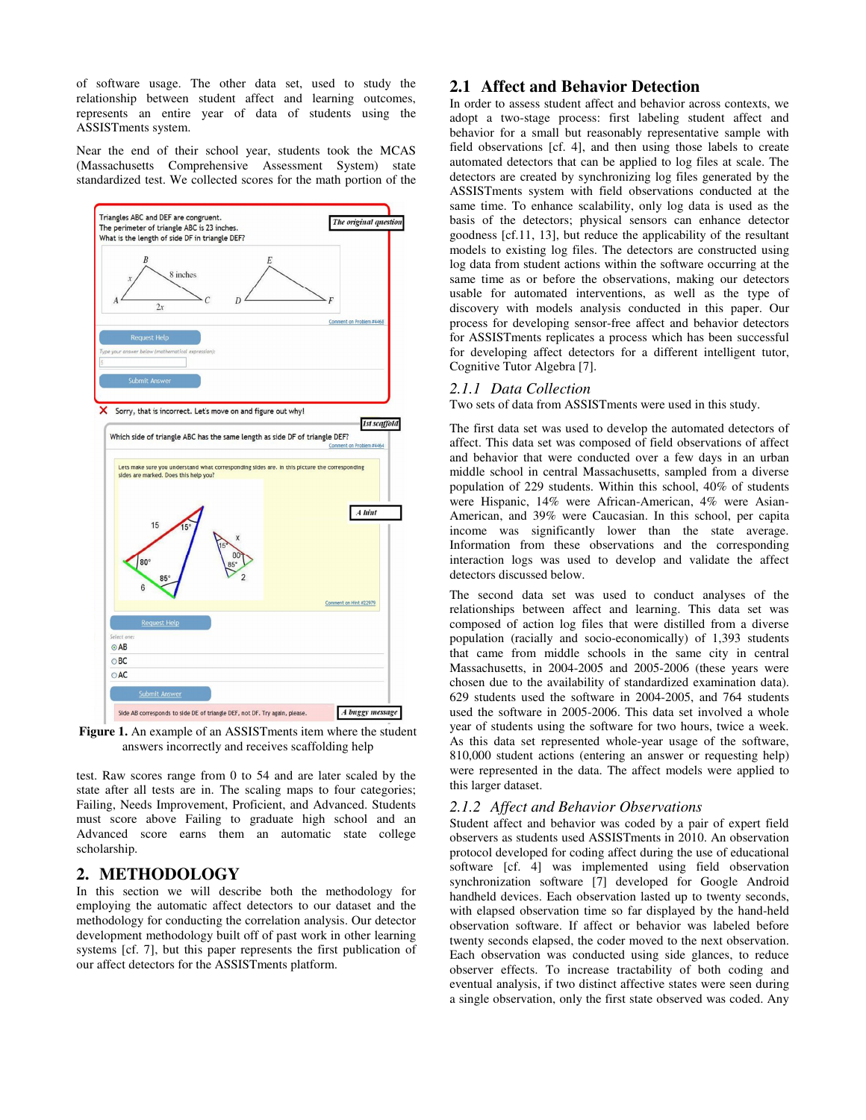of software usage. The other data set, used to study the relationship between student affect and learning outcomes, represents an entire year of data of students using the ASSISTments system.

Near the end of their school year, students took the MCAS (Massachusetts Comprehensive Assessment System) state standardized test. We collected scores for the math portion of the



**Figure 1.** An example of an ASSISTments item where the student answers incorrectly and receives scaffolding help

test. Raw scores range from 0 to 54 and are later scaled by the state after all tests are in. The scaling maps to four categories; Failing, Needs Improvement, Proficient, and Advanced. Students must score above Failing to graduate high school and an Advanced score earns them an automatic state college scholarship.

# **2. METHODOLOGY**

In this section we will describe both the methodology for employing the automatic affect detectors to our dataset and the methodology for conducting the correlation analysis. Our detector development methodology built off of past work in other learning systems [cf. 7], but this paper represents the first publication of our affect detectors for the ASSISTments platform.

## **2.1 Affect and Behavior Detection**

In order to assess student affect and behavior across contexts, we adopt a two-stage process: first labeling student affect and behavior for a small but reasonably representative sample with field observations [cf. 4], and then using those labels to create automated detectors that can be applied to log files at scale. The detectors are created by synchronizing log files generated by the ASSISTments system with field observations conducted at the same time. To enhance scalability, only log data is used as the basis of the detectors; physical sensors can enhance detector goodness [cf.11, 13], but reduce the applicability of the resultant models to existing log files. The detectors are constructed using log data from student actions within the software occurring at the same time as or before the observations, making our detectors usable for automated interventions, as well as the type of discovery with models analysis conducted in this paper. Our process for developing sensor-free affect and behavior detectors for ASSISTments replicates a process which has been successful for developing affect detectors for a different intelligent tutor, Cognitive Tutor Algebra [7].

## *2.1.1 Data Collection*

Two sets of data from ASSISTments were used in this study.

The first data set was used to develop the automated detectors of affect. This data set was composed of field observations of affect and behavior that were conducted over a few days in an urban middle school in central Massachusetts, sampled from a diverse population of 229 students. Within this school, 40% of students were Hispanic, 14% were African-American, 4% were Asian-American, and 39% were Caucasian. In this school, per capita income was significantly lower than the state average. Information from these observations and the corresponding interaction logs was used to develop and validate the affect detectors discussed below.

The second data set was used to conduct analyses of the relationships between affect and learning. This data set was composed of action log files that were distilled from a diverse population (racially and socio-economically) of 1,393 students that came from middle schools in the same city in central Massachusetts, in 2004-2005 and 2005-2006 (these years were chosen due to the availability of standardized examination data). 629 students used the software in 2004-2005, and 764 students used the software in 2005-2006. This data set involved a whole year of students using the software for two hours, twice a week. As this data set represented whole-year usage of the software, 810,000 student actions (entering an answer or requesting help) were represented in the data. The affect models were applied to this larger dataset.

## *2.1.2 Affect and Behavior Observations*

Student affect and behavior was coded by a pair of expert field observers as students used ASSISTments in 2010. An observation protocol developed for coding affect during the use of educational software [cf. 4] was implemented using field observation synchronization software [7] developed for Google Android handheld devices. Each observation lasted up to twenty seconds, with elapsed observation time so far displayed by the hand-held observation software. If affect or behavior was labeled before twenty seconds elapsed, the coder moved to the next observation. Each observation was conducted using side glances, to reduce observer effects. To increase tractability of both coding and eventual analysis, if two distinct affective states were seen during a single observation, only the first state observed was coded. Any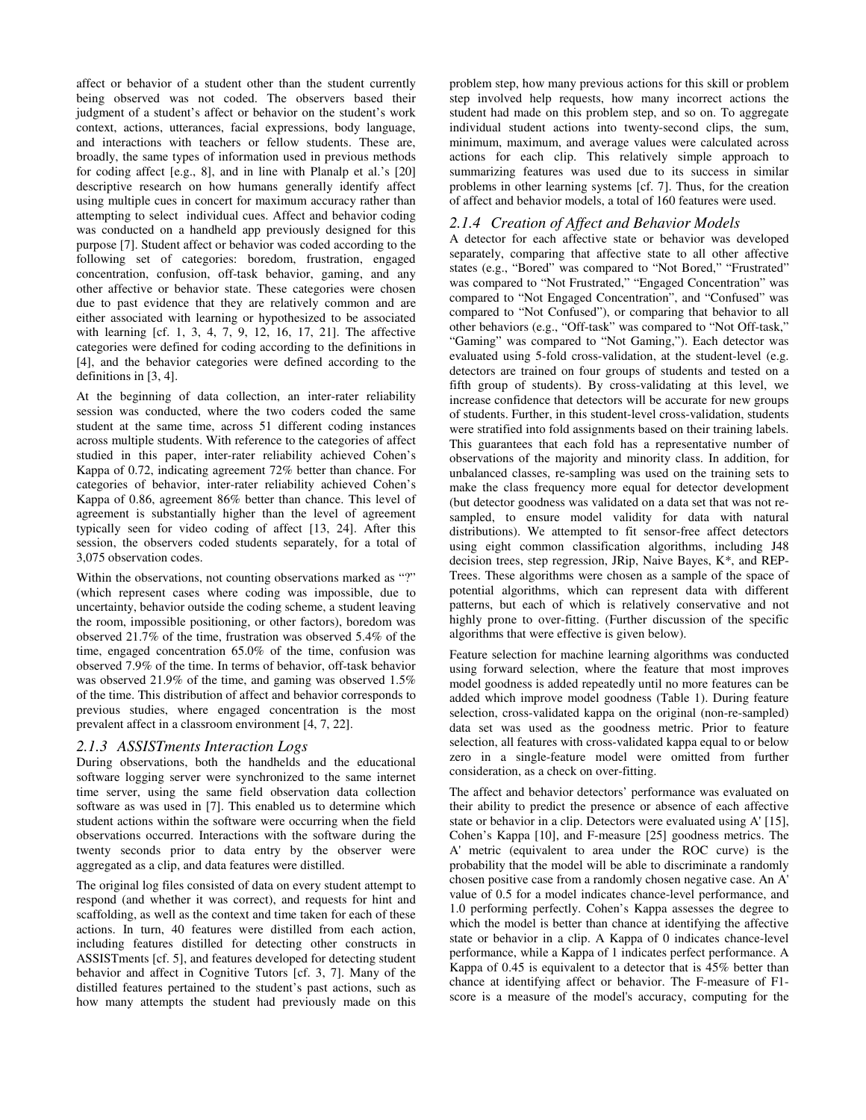affect or behavior of a student other than the student currently being observed was not coded. The observers based their judgment of a student's affect or behavior on the student's work context, actions, utterances, facial expressions, body language, and interactions with teachers or fellow students. These are, broadly, the same types of information used in previous methods for coding affect [e.g., 8], and in line with Planalp et al.'s [20] descriptive research on how humans generally identify affect using multiple cues in concert for maximum accuracy rather than attempting to select individual cues. Affect and behavior coding was conducted on a handheld app previously designed for this purpose [7]. Student affect or behavior was coded according to the following set of categories: boredom, frustration, engaged concentration, confusion, off-task behavior, gaming, and any other affective or behavior state. These categories were chosen due to past evidence that they are relatively common and are either associated with learning or hypothesized to be associated with learning [cf. 1, 3, 4, 7, 9, 12, 16, 17, 21]. The affective categories were defined for coding according to the definitions in [4], and the behavior categories were defined according to the definitions in [3, 4].

At the beginning of data collection, an inter-rater reliability session was conducted, where the two coders coded the same student at the same time, across 51 different coding instances across multiple students. With reference to the categories of affect studied in this paper, inter-rater reliability achieved Cohen's Kappa of 0.72, indicating agreement 72% better than chance. For categories of behavior, inter-rater reliability achieved Cohen's Kappa of 0.86, agreement 86% better than chance. This level of agreement is substantially higher than the level of agreement typically seen for video coding of affect [13, 24]. After this session, the observers coded students separately, for a total of 3,075 observation codes.

Within the observations, not counting observations marked as "?" (which represent cases where coding was impossible, due to uncertainty, behavior outside the coding scheme, a student leaving the room, impossible positioning, or other factors), boredom was observed 21.7% of the time, frustration was observed 5.4% of the time, engaged concentration 65.0% of the time, confusion was observed 7.9% of the time. In terms of behavior, off-task behavior was observed 21.9% of the time, and gaming was observed 1.5% of the time. This distribution of affect and behavior corresponds to previous studies, where engaged concentration is the most prevalent affect in a classroom environment [4, 7, 22].

#### *2.1.3 ASSISTments Interaction Logs*

During observations, both the handhelds and the educational software logging server were synchronized to the same internet time server, using the same field observation data collection software as was used in [7]. This enabled us to determine which student actions within the software were occurring when the field observations occurred. Interactions with the software during the twenty seconds prior to data entry by the observer were aggregated as a clip, and data features were distilled.

The original log files consisted of data on every student attempt to respond (and whether it was correct), and requests for hint and scaffolding, as well as the context and time taken for each of these actions. In turn, 40 features were distilled from each action, including features distilled for detecting other constructs in ASSISTments [cf. 5], and features developed for detecting student behavior and affect in Cognitive Tutors [cf. 3, 7]. Many of the distilled features pertained to the student's past actions, such as how many attempts the student had previously made on this

problem step, how many previous actions for this skill or problem step involved help requests, how many incorrect actions the student had made on this problem step, and so on. To aggregate individual student actions into twenty-second clips, the sum, minimum, maximum, and average values were calculated across actions for each clip. This relatively simple approach to summarizing features was used due to its success in similar problems in other learning systems [cf. 7]. Thus, for the creation of affect and behavior models, a total of 160 features were used.

#### *2.1.4 Creation of Affect and Behavior Models*

A detector for each affective state or behavior was developed separately, comparing that affective state to all other affective states (e.g., "Bored" was compared to "Not Bored," "Frustrated" was compared to "Not Frustrated," "Engaged Concentration" was compared to "Not Engaged Concentration", and "Confused" was compared to "Not Confused"), or comparing that behavior to all other behaviors (e.g., "Off-task" was compared to "Not Off-task," "Gaming" was compared to "Not Gaming,"). Each detector was evaluated using 5-fold cross-validation, at the student-level (e.g. detectors are trained on four groups of students and tested on a fifth group of students). By cross-validating at this level, we increase confidence that detectors will be accurate for new groups of students. Further, in this student-level cross-validation, students were stratified into fold assignments based on their training labels. This guarantees that each fold has a representative number of observations of the majority and minority class. In addition, for unbalanced classes, re-sampling was used on the training sets to make the class frequency more equal for detector development (but detector goodness was validated on a data set that was not resampled, to ensure model validity for data with natural distributions). We attempted to fit sensor-free affect detectors using eight common classification algorithms, including J48 decision trees, step regression, JRip, Naive Bayes, K\*, and REP-Trees. These algorithms were chosen as a sample of the space of potential algorithms, which can represent data with different patterns, but each of which is relatively conservative and not highly prone to over-fitting. (Further discussion of the specific algorithms that were effective is given below).

Feature selection for machine learning algorithms was conducted using forward selection, where the feature that most improves model goodness is added repeatedly until no more features can be added which improve model goodness (Table 1). During feature selection, cross-validated kappa on the original (non-re-sampled) data set was used as the goodness metric. Prior to feature selection, all features with cross-validated kappa equal to or below zero in a single-feature model were omitted from further consideration, as a check on over-fitting.

The affect and behavior detectors' performance was evaluated on their ability to predict the presence or absence of each affective state or behavior in a clip. Detectors were evaluated using A' [15], Cohen's Kappa [10], and F-measure [25] goodness metrics. The A' metric (equivalent to area under the ROC curve) is the probability that the model will be able to discriminate a randomly chosen positive case from a randomly chosen negative case. An A' value of 0.5 for a model indicates chance-level performance, and 1.0 performing perfectly. Cohen's Kappa assesses the degree to which the model is better than chance at identifying the affective state or behavior in a clip. A Kappa of 0 indicates chance-level performance, while a Kappa of 1 indicates perfect performance. A Kappa of 0.45 is equivalent to a detector that is 45% better than chance at identifying affect or behavior. The F-measure of F1 score is a measure of the model's accuracy, computing for the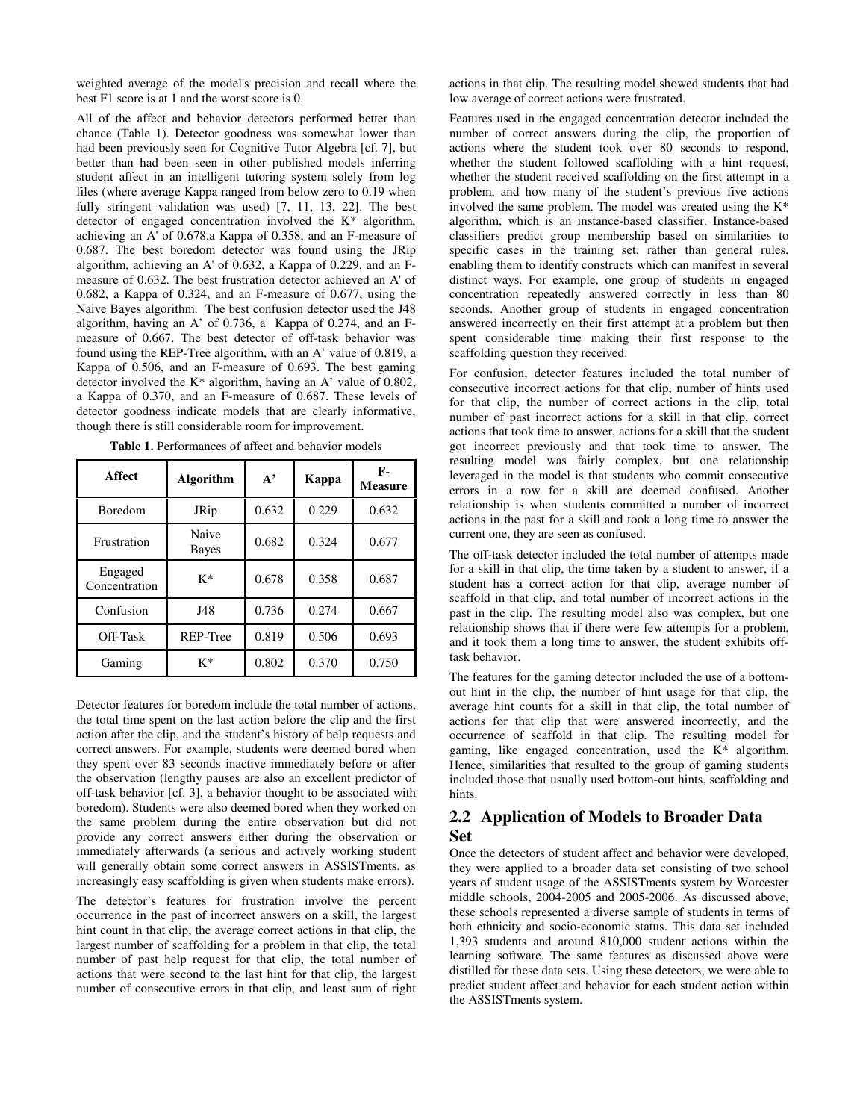weighted average of the model's precision and recall where the best F1 score is at 1 and the worst score is 0.

All of the affect and behavior detectors performed better than chance (Table 1). Detector goodness was somewhat lower than had been previously seen for Cognitive Tutor Algebra [cf. 7], but better than had been seen in other published models inferring student affect in an intelligent tutoring system solely from log files (where average Kappa ranged from below zero to 0.19 when fully stringent validation was used) [7, 11, 13, 22]. The best detector of engaged concentration involved the K\* algorithm, achieving an A' of 0.678,a Kappa of 0.358, and an F-measure of 0.687. The best boredom detector was found using the JRip algorithm, achieving an A' of 0.632, a Kappa of 0.229, and an Fmeasure of 0.632. The best frustration detector achieved an A' of 0.682, a Kappa of 0.324, and an F-measure of 0.677, using the Naive Bayes algorithm. The best confusion detector used the J48 algorithm, having an A' of 0.736, a Kappa of 0.274, and an Fmeasure of 0.667. The best detector of off-task behavior was found using the REP-Tree algorithm, with an A' value of 0.819, a Kappa of 0.506, and an F-measure of 0.693. The best gaming detector involved the K\* algorithm, having an A' value of 0.802, a Kappa of 0.370, and an F-measure of 0.687. These levels of detector goodness indicate models that are clearly informative, though there is still considerable room for improvement.

| <b>Affect</b>            | <b>Algorithm</b> | $A^{\prime}$ | Kappa | F-<br><b>Measure</b> |  |
|--------------------------|------------------|--------------|-------|----------------------|--|
| <b>Boredom</b>           | JRip             | 0.632        | 0.229 | 0.632                |  |
| Frustration              | Naive<br>Bayes   | 0.682        | 0.324 | 0.677                |  |
| Engaged<br>Concentration | $K^*$            | 0.678        | 0.358 | 0.687                |  |
| Confusion                | J48              | 0.736        | 0.274 | 0.667                |  |
| Off-Task                 | REP-Tree         | 0.819        | 0.506 | 0.693                |  |
| Gaming                   | K*               | 0.802        | 0.370 | 0.750                |  |

**Table 1.** Performances of affect and behavior models

Detector features for boredom include the total number of actions, the total time spent on the last action before the clip and the first action after the clip, and the student's history of help requests and correct answers. For example, students were deemed bored when they spent over 83 seconds inactive immediately before or after the observation (lengthy pauses are also an excellent predictor of off-task behavior [cf. 3], a behavior thought to be associated with boredom). Students were also deemed bored when they worked on the same problem during the entire observation but did not provide any correct answers either during the observation or immediately afterwards (a serious and actively working student will generally obtain some correct answers in ASSISTments, as increasingly easy scaffolding is given when students make errors).

The detector's features for frustration involve the percent occurrence in the past of incorrect answers on a skill, the largest hint count in that clip, the average correct actions in that clip, the largest number of scaffolding for a problem in that clip, the total number of past help request for that clip, the total number of actions that were second to the last hint for that clip, the largest number of consecutive errors in that clip, and least sum of right actions in that clip. The resulting model showed students that had low average of correct actions were frustrated.

Features used in the engaged concentration detector included the number of correct answers during the clip, the proportion of actions where the student took over 80 seconds to respond, whether the student followed scaffolding with a hint request, whether the student received scaffolding on the first attempt in a problem, and how many of the student's previous five actions involved the same problem. The model was created using the K\* algorithm, which is an instance-based classifier. Instance-based classifiers predict group membership based on similarities to specific cases in the training set, rather than general rules, enabling them to identify constructs which can manifest in several distinct ways. For example, one group of students in engaged concentration repeatedly answered correctly in less than 80 seconds. Another group of students in engaged concentration answered incorrectly on their first attempt at a problem but then spent considerable time making their first response to the scaffolding question they received.

For confusion, detector features included the total number of consecutive incorrect actions for that clip, number of hints used for that clip, the number of correct actions in the clip, total number of past incorrect actions for a skill in that clip, correct actions that took time to answer, actions for a skill that the student got incorrect previously and that took time to answer. The resulting model was fairly complex, but one relationship leveraged in the model is that students who commit consecutive errors in a row for a skill are deemed confused. Another relationship is when students committed a number of incorrect actions in the past for a skill and took a long time to answer the current one, they are seen as confused.

The off-task detector included the total number of attempts made for a skill in that clip, the time taken by a student to answer, if a student has a correct action for that clip, average number of scaffold in that clip, and total number of incorrect actions in the past in the clip. The resulting model also was complex, but one relationship shows that if there were few attempts for a problem, and it took them a long time to answer, the student exhibits offtask behavior.

The features for the gaming detector included the use of a bottomout hint in the clip, the number of hint usage for that clip, the average hint counts for a skill in that clip, the total number of actions for that clip that were answered incorrectly, and the occurrence of scaffold in that clip. The resulting model for gaming, like engaged concentration, used the K\* algorithm. Hence, similarities that resulted to the group of gaming students included those that usually used bottom-out hints, scaffolding and hints.

## **2.2 Application of Models to Broader Data Set**

Once the detectors of student affect and behavior were developed, they were applied to a broader data set consisting of two school years of student usage of the ASSISTments system by Worcester middle schools, 2004-2005 and 2005-2006. As discussed above, these schools represented a diverse sample of students in terms of both ethnicity and socio-economic status. This data set included 1,393 students and around 810,000 student actions within the learning software. The same features as discussed above were distilled for these data sets. Using these detectors, we were able to predict student affect and behavior for each student action within the ASSISTments system.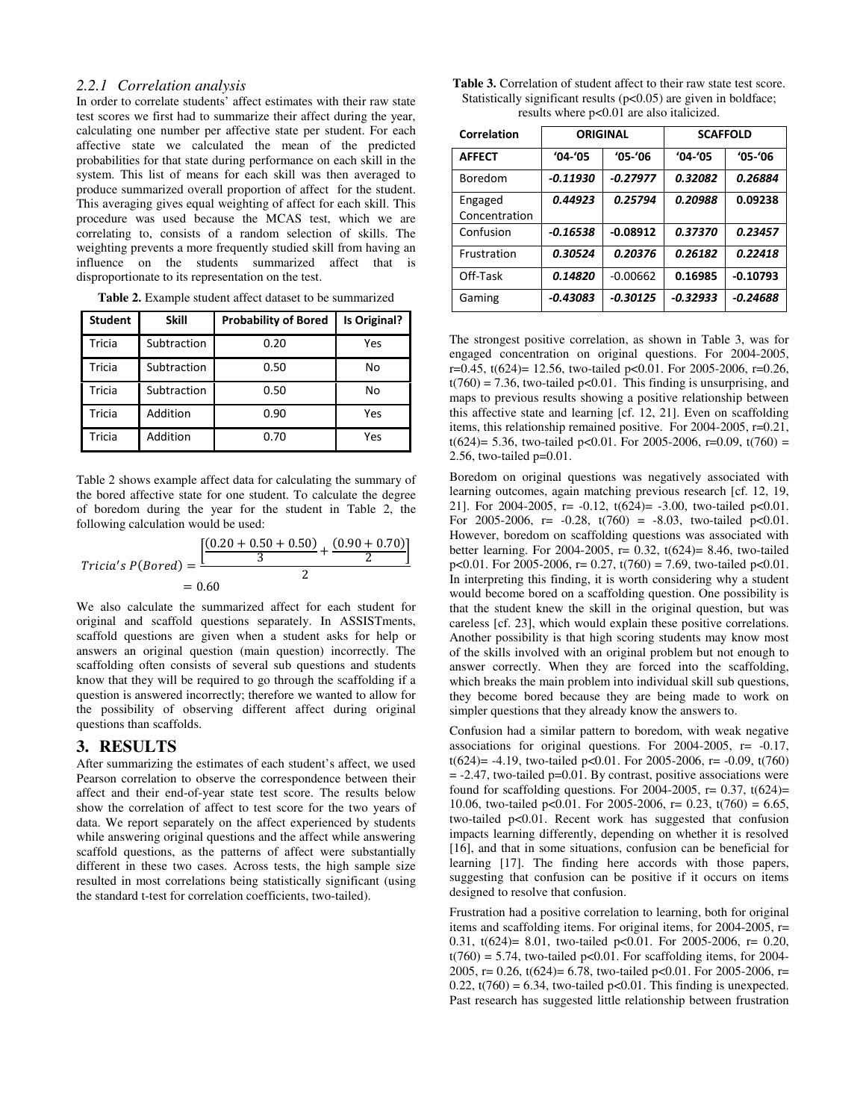### *2.2.1 Correlation analysis*

In order to correlate students' affect estimates with their raw state test scores we first had to summarize their affect during the year, calculating one number per affective state per student. For each affective state we calculated the mean of the predicted probabilities for that state during performance on each skill in the system. This list of means for each skill was then averaged to produce summarized overall proportion of affect for the student. This averaging gives equal weighting of affect for each skill. This procedure was used because the MCAS test, which we are correlating to, consists of a random selection of skills. The weighting prevents a more frequently studied skill from having an influence on the students summarized affect that is disproportionate to its representation on the test.

| <b>Student</b> | <b>Skill</b> | <b>Probability of Bored</b> | Is Original? |
|----------------|--------------|-----------------------------|--------------|
| Tricia         | Subtraction  | 0.20                        | Yes          |
| Tricia         | Subtraction  | 0.50                        | No           |
| Tricia         | Subtraction  | 0.50                        | No           |
| Tricia         | Addition     | 0.90                        | Yes          |
| Tricia         | Addition     | 0.70                        | Yes          |

**Table 2.** Example student affect dataset to be summarized

Table 2 shows example affect data for calculating the summary of the bored affective state for one student. To calculate the degree of boredom during the year for the student in Table 2, the following calculation would be used:

$$
Tricia's P(Bored) = \frac{\left[\frac{(0.20 + 0.50 + 0.50)}{3} + \frac{(0.90 + 0.70)}{2}\right]}{2}
$$
  
= 0.60

We also calculate the summarized affect for each student for original and scaffold questions separately. In ASSISTments, scaffold questions are given when a student asks for help or answers an original question (main question) incorrectly. The scaffolding often consists of several sub questions and students know that they will be required to go through the scaffolding if a question is answered incorrectly; therefore we wanted to allow for the possibility of observing different affect during original questions than scaffolds.

### **3. RESULTS**

After summarizing the estimates of each student's affect, we used Pearson correlation to observe the correspondence between their affect and their end-of-year state test score. The results below show the correlation of affect to test score for the two years of data. We report separately on the affect experienced by students while answering original questions and the affect while answering scaffold questions, as the patterns of affect were substantially different in these two cases. Across tests, the high sample size resulted in most correlations being statistically significant (using the standard t-test for correlation coefficients, two-tailed).

| <b>Table 3.</b> Correlation of student affect to their raw state test score. |
|------------------------------------------------------------------------------|
| Statistically significant results $(p<0.05)$ are given in boldface;          |
| results where $p<0.01$ are also italicized.                                  |

| Correlation   | <b>ORIGINAL</b> |             | <b>SCAFFOLD</b> |            |
|---------------|-----------------|-------------|-----------------|------------|
| <b>AFFECT</b> | $'04 - '05$     | $'05 - '06$ | $'04 - '05$     | $'05-'06$  |
| Boredom       | $-0.11930$      | $-0.27977$  | 0.32082         | 0.26884    |
| Engaged       | 0.44923         | 0.25794     | 0.20988         | 0.09238    |
| Concentration |                 |             |                 |            |
| Confusion     | $-0.16538$      | $-0.08912$  | 0.37370         | 0.23457    |
| Frustration   | 0.30524         | 0.20376     | 0.26182         | 0.22418    |
| Off-Task      | 0.14820         | $-0.00662$  | 0.16985         | $-0.10793$ |
| Gaming        | $-0.43083$      | $-0.30125$  | $-0.32933$      | $-0.24688$ |

The strongest positive correlation, as shown in Table 3, was for engaged concentration on original questions. For 2004-2005, r=0.45, t(624)= 12.56, two-tailed p<0.01. For 2005-2006, r=0.26,  $t(760) = 7.36$ , two-tailed p<0.01. This finding is unsurprising, and maps to previous results showing a positive relationship between this affective state and learning [cf. 12, 21]. Even on scaffolding items, this relationship remained positive. For 2004-2005, r=0.21, t(624)= 5.36, two-tailed p<0.01. For 2005-2006, r=0.09, t(760) = 2.56, two-tailed p=0.01.

Boredom on original questions was negatively associated with learning outcomes, again matching previous research [cf. 12, 19, 21]. For 2004-2005, r= -0.12, t(624)= -3.00, two-tailed p<0.01. For 2005-2006, r= -0.28,  $t(760) = -8.03$ , two-tailed p<0.01. However, boredom on scaffolding questions was associated with better learning. For 2004-2005,  $r = 0.32$ ,  $t(624) = 8.46$ , two-tailed p<0.01. For 2005-2006, r= 0.27, t(760) = 7.69, two-tailed p<0.01. In interpreting this finding, it is worth considering why a student would become bored on a scaffolding question. One possibility is that the student knew the skill in the original question, but was careless [cf. 23], which would explain these positive correlations. Another possibility is that high scoring students may know most of the skills involved with an original problem but not enough to answer correctly. When they are forced into the scaffolding, which breaks the main problem into individual skill sub questions, they become bored because they are being made to work on simpler questions that they already know the answers to.

Confusion had a similar pattern to boredom, with weak negative associations for original questions. For 2004-2005, r= -0.17, t(624)= -4.19, two-tailed p<0.01. For 2005-2006, r= -0.09, t(760)  $= -2.47$ , two-tailed  $p=0.01$ . By contrast, positive associations were found for scaffolding questions. For  $2004-2005$ , r= 0.37, t(624)= 10.06, two-tailed p<0.01. For 2005-2006, r= 0.23, t(760) = 6.65, two-tailed p<0.01. Recent work has suggested that confusion impacts learning differently, depending on whether it is resolved [16], and that in some situations, confusion can be beneficial for learning [17]. The finding here accords with those papers, suggesting that confusion can be positive if it occurs on items designed to resolve that confusion.

Frustration had a positive correlation to learning, both for original items and scaffolding items. For original items, for 2004-2005, r= 0.31, t(624)= 8.01, two-tailed p<0.01. For 2005-2006, r= 0.20,  $t(760) = 5.74$ , two-tailed p<0.01. For scaffolding items, for 2004-2005, r= 0.26, t(624)= 6.78, two-tailed p<0.01. For 2005-2006, r=  $0.22$ ,  $t(760) = 6.34$ , two-tailed  $p<0.01$ . This finding is unexpected. Past research has suggested little relationship between frustration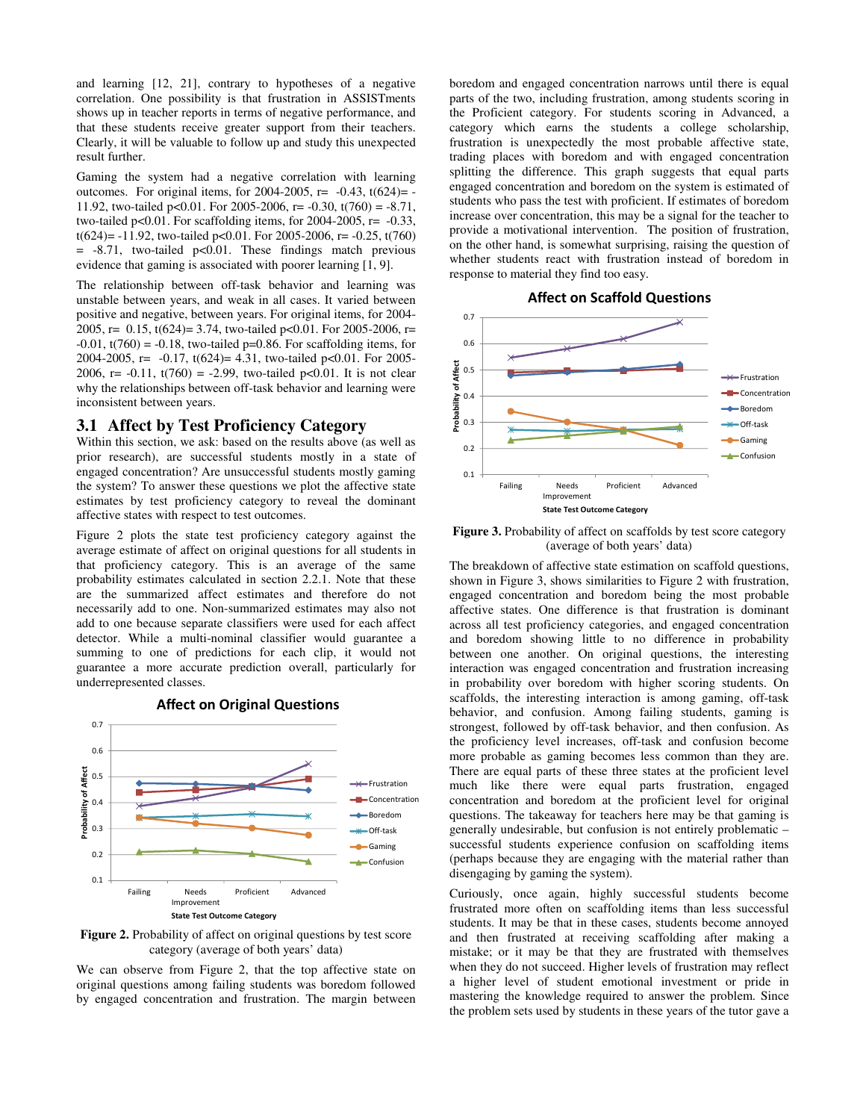and learning [12, 21], contrary to hypotheses of a negative correlation. One possibility is that frustration in ASSISTments shows up in teacher reports in terms of negative performance, and that these students receive greater support from their teachers. Clearly, it will be valuable to follow up and study this unexpected result further.

Gaming the system had a negative correlation with learning outcomes. For original items, for  $2004-2005$ , r=  $-0.43$ ,  $t(624)$ =  $-$ 11.92, two-tailed p<0.01. For 2005-2006, r= -0.30, t(760) = -8.71, two-tailed  $p<0.01$ . For scaffolding items, for 2004-2005,  $r=-0.33$ , t(624)= -11.92, two-tailed p<0.01. For 2005-2006, r= -0.25, t(760)  $= -8.71$ , two-tailed p<0.01. These findings match previous evidence that gaming is associated with poorer learning [1, 9].

The relationship between off-task behavior and learning was unstable between years, and weak in all cases. It varied between positive and negative, between years. For original items, for 2004- 2005, r= 0.15, t(624)= 3.74, two-tailed p<0.01. For 2005-2006, r=  $-0.01$ ,  $t(760) = -0.18$ , two-tailed p=0.86. For scaffolding items, for 2004-2005, r= -0.17, t(624)= 4.31, two-tailed p<0.01. For 2005- 2006, r= -0.11,  $t(760) = -2.99$ , two-tailed p<0.01. It is not clear why the relationships between off-task behavior and learning were inconsistent between years.

#### **3.1 Affect by Test Proficiency Category**

Within this section, we ask: based on the results above (as well as prior research), are successful students mostly in a state of engaged concentration? Are unsuccessful students mostly gaming the system? To answer these questions we plot the affective state estimates by test proficiency category to reveal the dominant affective states with respect to test outcomes.

Figure 2 plots the state test proficiency category against the average estimate of affect on original questions for all students in that proficiency category. This is an average of the same probability estimates calculated in section 2.2.1. Note that these are the summarized affect estimates and therefore do not necessarily add to one. Non-summarized estimates may also not add to one because separate classifiers were used for each affect detector. While a multi-nominal classifier would guarantee a summing to one of predictions for each clip, it would not guarantee a more accurate prediction overall, particularly for underrepresented classes.

Affect on Original Questions



Figure 2. Probability of affect on original questions by test score category (average of both years' data)

We can observe from Figure 2, that the top affective state on original questions among failing students was boredom followed by engaged concentration and frustration. The margin between boredom and engaged concentration narrows until there is equal parts of the two, including frustration, among students scoring in the Proficient category. For students scoring in Advanced, a category which earns the students a college scholarship, frustration is unexpectedly the most probable affective state, trading places with boredom and with engaged concentration splitting the difference. This graph suggests that equal parts engaged concentration and boredom on the system is estimated of students who pass the test with proficient. If estimates of boredom increase over concentration, this may be a signal for the teacher to provide a motivational intervention. The position of frustration, on the other hand, is somewhat surprising, raising the question of whether students react with frustration instead of boredom in response to material they find too easy.

Affect on Scaffold Questions



Figure 3. Probability of affect on scaffolds by test score category (average of both years' data)

The breakdown of affective state estimation on scaffold questions, shown in Figure 3, shows similarities to Figure 2 with frustration, engaged concentration and boredom being the most probable affective states. One difference is that frustration is dominant across all test proficiency categories, and engaged concentration and boredom showing little to no difference in probability between one another. On original questions, the interesting interaction was engaged concentration and frustration increasing in probability over boredom with higher scoring students. On scaffolds, the interesting interaction is among gaming, off-task behavior, and confusion. Among failing students, gaming is strongest, followed by off-task behavior, and then confusion. As the proficiency level increases, off-task and confusion become more probable as gaming becomes less common than they are. There are equal parts of these three states at the proficient level much like there were equal parts frustration, engaged concentration and boredom at the proficient level for original questions. The takeaway for teachers here may be that gaming is generally undesirable, but confusion is not entirely problematic – successful students experience confusion on scaffolding items (perhaps because they are engaging with the material rather than disengaging by gaming the system).

Curiously, once again, highly successful students become frustrated more often on scaffolding items than less successful students. It may be that in these cases, students become annoyed and then frustrated at receiving scaffolding after making a mistake; or it may be that they are frustrated with themselves when they do not succeed. Higher levels of frustration may reflect a higher level of student emotional investment or pride in mastering the knowledge required to answer the problem. Since the problem sets used by students in these years of the tutor gave a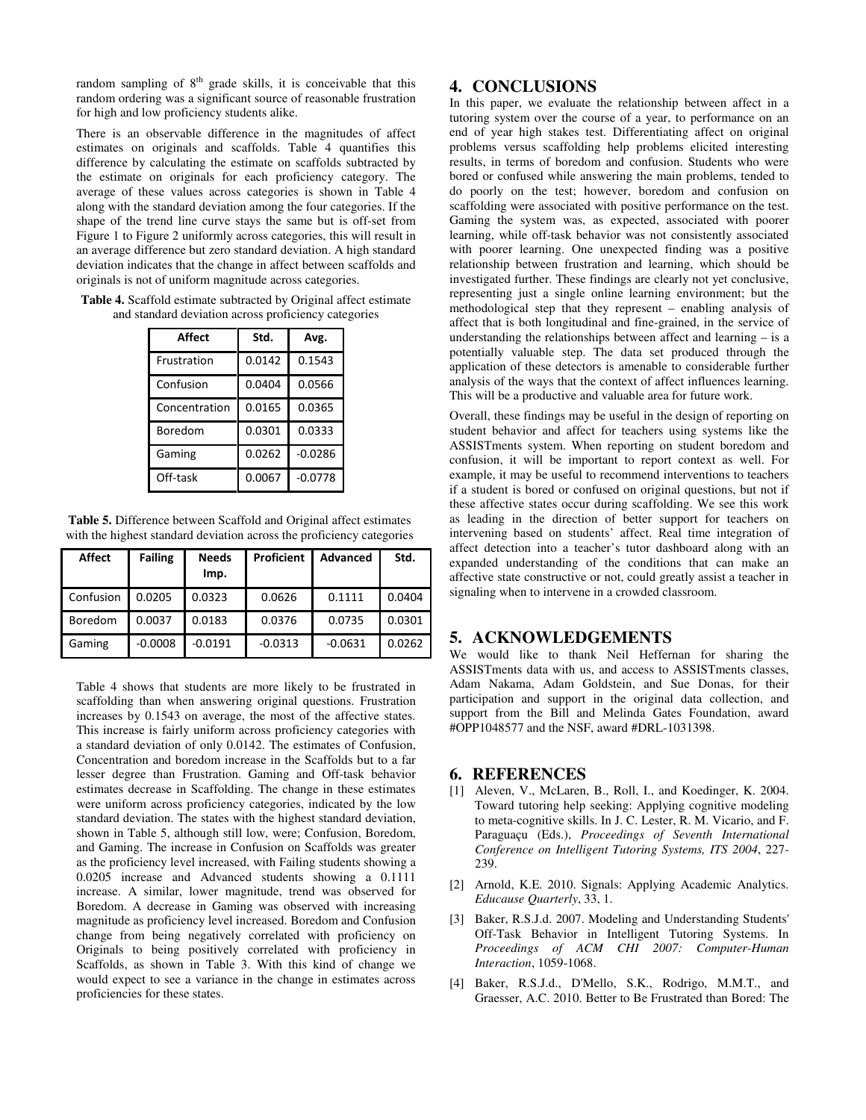random sampling of  $8<sup>th</sup>$  grade skills, it is conceivable that this random ordering was a significant source of reasonable frustration for high and low proficiency students alike.

There is an observable difference in the magnitudes of affect estimates on originals and scaffolds. Table 4 quantifies this difference by calculating the estimate on scaffolds subtracted by the estimate on originals for each proficiency category. The average of these values across categories is shown in Table 4 along with the standard deviation among the four categories. If the shape of the trend line curve stays the same but is off-set from Figure 1 to Figure 2 uniformly across categories, this will result in an average difference but zero standard deviation. A high standard deviation indicates that the change in affect between scaffolds and originals is not of uniform magnitude across categories.

| <b>Table 4.</b> Scaffold estimate subtracted by Original affect estimate |
|--------------------------------------------------------------------------|
| and standard deviation across proficiency categories                     |

| Affect        | Std.   | Avg.      |
|---------------|--------|-----------|
| Frustration   | 0.0142 | 0.1543    |
| Confusion     | 0.0404 | 0.0566    |
| Concentration | 0.0165 | 0.0365    |
| Boredom       | 0.0301 | 0.0333    |
| Gaming        | 0.0262 | $-0.0286$ |
| Off-task      | 0.0067 | $-0.0778$ |

**Table 5.** Difference between Scaffold and Original affect estimates with the highest standard deviation across the proficiency categories

| Affect           | <b>Failing</b> | <b>Needs</b><br>Imp. | Proficient | Advanced  | Std.   |
|------------------|----------------|----------------------|------------|-----------|--------|
| <b>Confusion</b> | 0.0205         | 0.0323               | 0.0626     | 0.1111    | 0.0404 |
| Boredom          | 0.0037         | 0.0183               | 0.0376     | 0.0735    | 0.0301 |
| Gaming           | $-0.0008$      | $-0.0191$            | $-0.0313$  | $-0.0631$ | 0.0262 |

Table 4 shows that students are more likely to be frustrated in scaffolding than when answering original questions. Frustration increases by 0.1543 on average, the most of the affective states. This increase is fairly uniform across proficiency categories with a standard deviation of only 0.0142. The estimates of Confusion, Concentration and boredom increase in the Scaffolds but to a far lesser degree than Frustration. Gaming and Off-task behavior estimates decrease in Scaffolding. The change in these estimates were uniform across proficiency categories, indicated by the low standard deviation. The states with the highest standard deviation, shown in Table 5, although still low, were; Confusion, Boredom, and Gaming. The increase in Confusion on Scaffolds was greater as the proficiency level increased, with Failing students showing a 0.0205 increase and Advanced students showing a 0.1111 increase. A similar, lower magnitude, trend was observed for Boredom. A decrease in Gaming was observed with increasing magnitude as proficiency level increased. Boredom and Confusion change from being negatively correlated with proficiency on Originals to being positively correlated with proficiency in Scaffolds, as shown in Table 3. With this kind of change we would expect to see a variance in the change in estimates across proficiencies for these states.

# **4. CONCLUSIONS**

In this paper, we evaluate the relationship between affect in a tutoring system over the course of a year, to performance on an end of year high stakes test. Differentiating affect on original problems versus scaffolding help problems elicited interesting results, in terms of boredom and confusion. Students who were bored or confused while answering the main problems, tended to do poorly on the test; however, boredom and confusion on scaffolding were associated with positive performance on the test. Gaming the system was, as expected, associated with poorer learning, while off-task behavior was not consistently associated with poorer learning. One unexpected finding was a positive relationship between frustration and learning, which should be investigated further. These findings are clearly not yet conclusive, representing just a single online learning environment; but the methodological step that they represent – enabling analysis of affect that is both longitudinal and fine-grained, in the service of understanding the relationships between affect and learning – is a potentially valuable step. The data set produced through the application of these detectors is amenable to considerable further analysis of the ways that the context of affect influences learning. This will be a productive and valuable area for future work.

Overall, these findings may be useful in the design of reporting on student behavior and affect for teachers using systems like the ASSISTments system. When reporting on student boredom and confusion, it will be important to report context as well. For example, it may be useful to recommend interventions to teachers if a student is bored or confused on original questions, but not if these affective states occur during scaffolding. We see this work as leading in the direction of better support for teachers on intervening based on students' affect. Real time integration of affect detection into a teacher's tutor dashboard along with an expanded understanding of the conditions that can make an affective state constructive or not, could greatly assist a teacher in signaling when to intervene in a crowded classroom.

# **5. ACKNOWLEDGEMENTS**

We would like to thank Neil Heffernan for sharing the ASSISTments data with us, and access to ASSISTments classes, Adam Nakama, Adam Goldstein, and Sue Donas, for their participation and support in the original data collection, and support from the Bill and Melinda Gates Foundation, award #OPP1048577 and the NSF, award #DRL-1031398.

## **6. REFERENCES**

- [1] Aleven, V., McLaren, B., Roll, I., and Koedinger, K. 2004. Toward tutoring help seeking: Applying cognitive modeling to meta-cognitive skills. In J. C. Lester, R. M. Vicario, and F. Paraguaçu (Eds.), *Proceedings of Seventh International Conference on Intelligent Tutoring Systems, ITS 2004*, 227- 239.
- [2] Arnold, K.E. 2010. Signals: Applying Academic Analytics. *Educause Quarterly*, 33, 1.
- [3] Baker, R.S.J.d. 2007. Modeling and Understanding Students' Off-Task Behavior in Intelligent Tutoring Systems. In *Proceedings of ACM CHI 2007: Computer-Human Interaction*, 1059-1068.
- [4] Baker, R.S.J.d., D'Mello, S.K., Rodrigo, M.M.T., and Graesser, A.C. 2010. Better to Be Frustrated than Bored: The